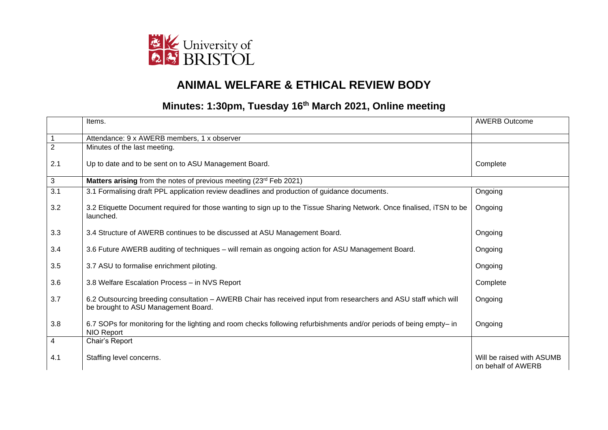

## **ANIMAL WELFARE & ETHICAL REVIEW BODY**

## **Minutes: 1:30pm, Tuesday 16th March 2021, Online meeting**

|                | Items.                                                                                                                                                  | <b>AWERB Outcome</b>                            |
|----------------|---------------------------------------------------------------------------------------------------------------------------------------------------------|-------------------------------------------------|
|                | Attendance: 9 x AWERB members, 1 x observer                                                                                                             |                                                 |
| $\overline{2}$ | Minutes of the last meeting.                                                                                                                            |                                                 |
| 2.1            | Up to date and to be sent on to ASU Management Board.                                                                                                   | Complete                                        |
| 3              | Matters arising from the notes of previous meeting (23rd Feb 2021)                                                                                      |                                                 |
| 3.1            | 3.1 Formalising draft PPL application review deadlines and production of guidance documents.                                                            | Ongoing                                         |
| 3.2            | 3.2 Etiquette Document required for those wanting to sign up to the Tissue Sharing Network. Once finalised, iTSN to be<br>launched.                     | Ongoing                                         |
| 3.3            | 3.4 Structure of AWERB continues to be discussed at ASU Management Board.                                                                               | Ongoing                                         |
| 3.4            | 3.6 Future AWERB auditing of techniques - will remain as ongoing action for ASU Management Board.                                                       | Ongoing                                         |
| 3.5            | 3.7 ASU to formalise enrichment piloting.                                                                                                               | Ongoing                                         |
| 3.6            | 3.8 Welfare Escalation Process - in NVS Report                                                                                                          | Complete                                        |
| 3.7            | 6.2 Outsourcing breeding consultation - AWERB Chair has received input from researchers and ASU staff which will<br>be brought to ASU Management Board. | Ongoing                                         |
| 3.8            | 6.7 SOPs for monitoring for the lighting and room checks following refurbishments and/or periods of being empty- in<br>NIO Report                       | Ongoing                                         |
| 4              | Chair's Report                                                                                                                                          |                                                 |
| 4.1            | Staffing level concerns.                                                                                                                                | Will be raised with ASUMB<br>on behalf of AWERB |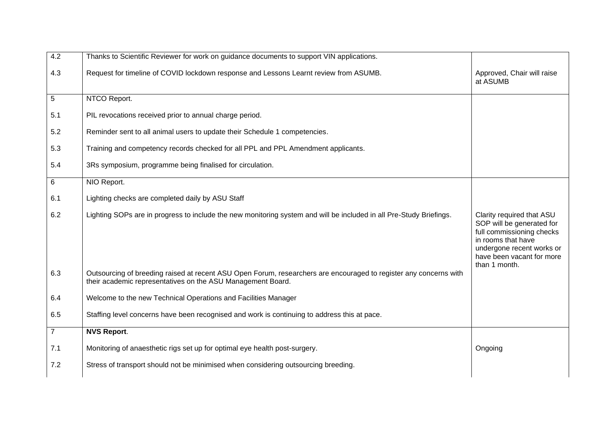| 4.2            | Thanks to Scientific Reviewer for work on guidance documents to support VIN applications.                                                                                        |                                                                                                                                                                     |
|----------------|----------------------------------------------------------------------------------------------------------------------------------------------------------------------------------|---------------------------------------------------------------------------------------------------------------------------------------------------------------------|
| 4.3            | Request for timeline of COVID lockdown response and Lessons Learnt review from ASUMB.                                                                                            | Approved, Chair will raise<br>at ASUMB                                                                                                                              |
| 5              | NTCO Report.                                                                                                                                                                     |                                                                                                                                                                     |
| 5.1            | PIL revocations received prior to annual charge period.                                                                                                                          |                                                                                                                                                                     |
| 5.2            | Reminder sent to all animal users to update their Schedule 1 competencies.                                                                                                       |                                                                                                                                                                     |
| 5.3            | Training and competency records checked for all PPL and PPL Amendment applicants.                                                                                                |                                                                                                                                                                     |
| 5.4            | 3Rs symposium, programme being finalised for circulation.                                                                                                                        |                                                                                                                                                                     |
| 6              | NIO Report.                                                                                                                                                                      |                                                                                                                                                                     |
| 6.1            | Lighting checks are completed daily by ASU Staff                                                                                                                                 |                                                                                                                                                                     |
| 6.2            | Lighting SOPs are in progress to include the new monitoring system and will be included in all Pre-Study Briefings.                                                              | Clarity required that ASU<br>SOP will be generated for<br>full commissioning checks<br>in rooms that have<br>undergone recent works or<br>have been vacant for more |
| 6.3            | Outsourcing of breeding raised at recent ASU Open Forum, researchers are encouraged to register any concerns with<br>their academic representatives on the ASU Management Board. | than 1 month.                                                                                                                                                       |
| 6.4            | Welcome to the new Technical Operations and Facilities Manager                                                                                                                   |                                                                                                                                                                     |
| 6.5            | Staffing level concerns have been recognised and work is continuing to address this at pace.                                                                                     |                                                                                                                                                                     |
| $\overline{7}$ | <b>NVS Report.</b>                                                                                                                                                               |                                                                                                                                                                     |
| 7.1            | Monitoring of anaesthetic rigs set up for optimal eye health post-surgery.                                                                                                       | Ongoing                                                                                                                                                             |
| 7.2            | Stress of transport should not be minimised when considering outsourcing breeding.                                                                                               |                                                                                                                                                                     |
|                |                                                                                                                                                                                  |                                                                                                                                                                     |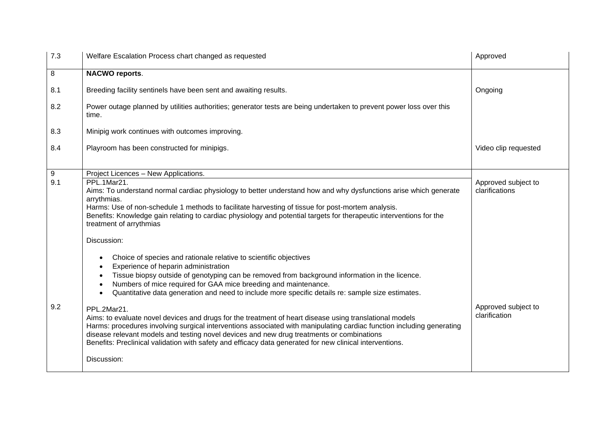| 7.3 | Welfare Escalation Process chart changed as requested                                                                                                                                                                                                                                                                                                                                                                                                    | Approved                              |
|-----|----------------------------------------------------------------------------------------------------------------------------------------------------------------------------------------------------------------------------------------------------------------------------------------------------------------------------------------------------------------------------------------------------------------------------------------------------------|---------------------------------------|
| 8   | <b>NACWO reports.</b>                                                                                                                                                                                                                                                                                                                                                                                                                                    |                                       |
| 8.1 | Breeding facility sentinels have been sent and awaiting results.                                                                                                                                                                                                                                                                                                                                                                                         | Ongoing                               |
| 8.2 | Power outage planned by utilities authorities; generator tests are being undertaken to prevent power loss over this<br>time.                                                                                                                                                                                                                                                                                                                             |                                       |
| 8.3 | Minipig work continues with outcomes improving.                                                                                                                                                                                                                                                                                                                                                                                                          |                                       |
| 8.4 | Playroom has been constructed for minipigs.                                                                                                                                                                                                                                                                                                                                                                                                              | Video clip requested                  |
| 9   | Project Licences - New Applications.                                                                                                                                                                                                                                                                                                                                                                                                                     |                                       |
| 9.1 | PPL.1Mar21.<br>Aims: To understand normal cardiac physiology to better understand how and why dysfunctions arise which generate<br>arrythmias.<br>Harms: Use of non-schedule 1 methods to facilitate harvesting of tissue for post-mortem analysis.<br>Benefits: Knowledge gain relating to cardiac physiology and potential targets for therapeutic interventions for the<br>treatment of arrythmias                                                    | Approved subject to<br>clarifications |
|     | Discussion:                                                                                                                                                                                                                                                                                                                                                                                                                                              |                                       |
|     | Choice of species and rationale relative to scientific objectives<br>Experience of heparin administration<br>Tissue biopsy outside of genotyping can be removed from background information in the licence.<br>Numbers of mice required for GAA mice breeding and maintenance.<br>Quantitative data generation and need to include more specific details re: sample size estimates.                                                                      |                                       |
| 9.2 | PPL.2Mar21.<br>Aims: to evaluate novel devices and drugs for the treatment of heart disease using translational models<br>Harms: procedures involving surgical interventions associated with manipulating cardiac function including generating<br>disease relevant models and testing novel devices and new drug treatments or combinations<br>Benefits: Preclinical validation with safety and efficacy data generated for new clinical interventions. | Approved subject to<br>clarification  |
|     | Discussion:                                                                                                                                                                                                                                                                                                                                                                                                                                              |                                       |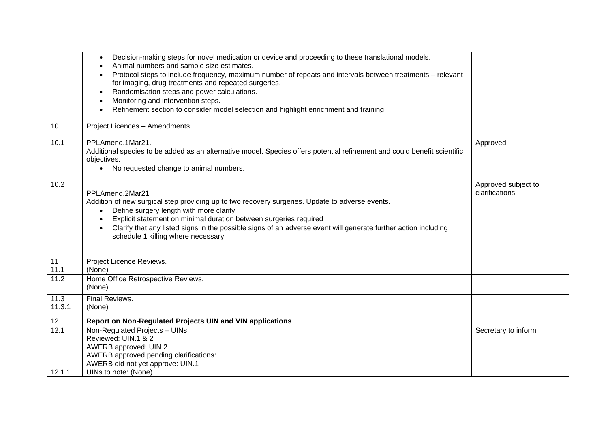|        | Decision-making steps for novel medication or device and proceeding to these translational models.<br>$\bullet$          |                     |
|--------|--------------------------------------------------------------------------------------------------------------------------|---------------------|
|        | Animal numbers and sample size estimates.                                                                                |                     |
|        | Protocol steps to include frequency, maximum number of repeats and intervals between treatments - relevant               |                     |
|        | for imaging, drug treatments and repeated surgeries.                                                                     |                     |
|        | Randomisation steps and power calculations.<br>$\bullet$                                                                 |                     |
|        | Monitoring and intervention steps.                                                                                       |                     |
|        | Refinement section to consider model selection and highlight enrichment and training.                                    |                     |
|        |                                                                                                                          |                     |
| 10     | Project Licences - Amendments.                                                                                           |                     |
| 10.1   | PPLAmend.1Mar21.                                                                                                         | Approved            |
|        | Additional species to be added as an alternative model. Species offers potential refinement and could benefit scientific |                     |
|        | objectives.                                                                                                              |                     |
|        | • No requested change to animal numbers.                                                                                 |                     |
|        |                                                                                                                          |                     |
| 10.2   |                                                                                                                          | Approved subject to |
|        | PPLAmend.2Mar21                                                                                                          | clarifications      |
|        | Addition of new surgical step providing up to two recovery surgeries. Update to adverse events.                          |                     |
|        | Define surgery length with more clarity<br>$\bullet$                                                                     |                     |
|        | Explicit statement on minimal duration between surgeries required                                                        |                     |
|        | Clarify that any listed signs in the possible signs of an adverse event will generate further action including           |                     |
|        | schedule 1 killing where necessary                                                                                       |                     |
|        |                                                                                                                          |                     |
|        |                                                                                                                          |                     |
| 11     | Project Licence Reviews.                                                                                                 |                     |
| 11.1   | (None)                                                                                                                   |                     |
| 11.2   | Home Office Retrospective Reviews.                                                                                       |                     |
|        | (None)                                                                                                                   |                     |
| 11.3   | Final Reviews.                                                                                                           |                     |
| 11.3.1 | (None)                                                                                                                   |                     |
|        |                                                                                                                          |                     |
| 12     | Report on Non-Regulated Projects UIN and VIN applications.                                                               |                     |
| 12.1   | Non-Regulated Projects - UINs                                                                                            | Secretary to inform |
|        | Reviewed: UIN.1 & 2                                                                                                      |                     |
|        | AWERB approved: UIN.2                                                                                                    |                     |
|        | AWERB approved pending clarifications:                                                                                   |                     |
|        | AWERB did not yet approve: UIN.1                                                                                         |                     |
| 12.1.1 | UINs to note: (None)                                                                                                     |                     |